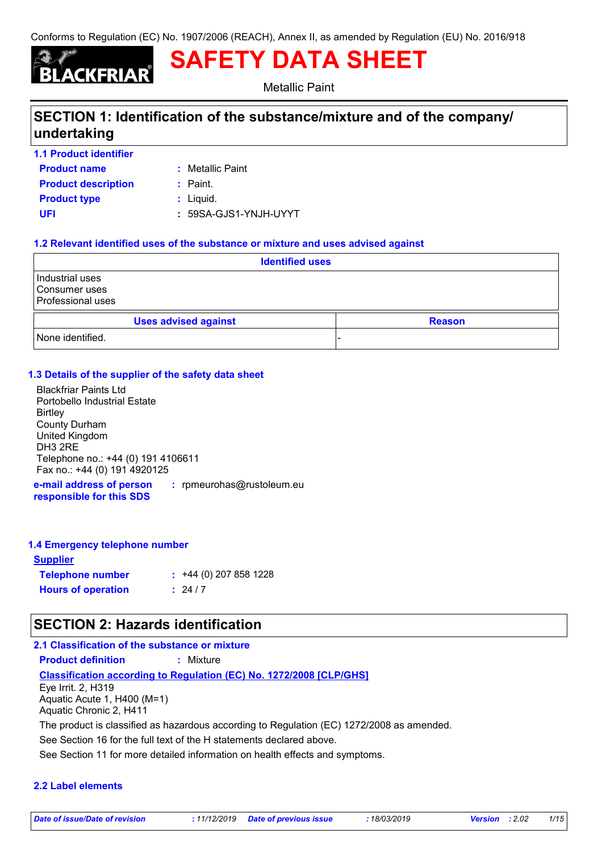# **SAFETY DATA SHEET**

Metallic Paint

## **SECTION 1: Identification of the substance/mixture and of the company/ undertaking**

- **1.1 Product identifier**
- **Product name**
- **:** Metallic Paint
- **Product description :** Paint.
- **Product type**  $\qquad$ **:** Liquid.

**UFI :** 59SA-GJS1-YNJH-UYYT

### **1.2 Relevant identified uses of the substance or mixture and uses advised against**

| <b>Identified uses</b>                                |  |  |               |  |
|-------------------------------------------------------|--|--|---------------|--|
| Industrial uses<br>Consumer uses<br>Professional uses |  |  |               |  |
| <b>Uses advised against</b>                           |  |  | <b>Reason</b> |  |
| None identified.                                      |  |  |               |  |

### **1.3 Details of the supplier of the safety data sheet**

Blackfriar Paints Ltd Portobello Industrial Estate **Birtley** County Durham United Kingdom DH3 2RE Telephone no.: +44 (0) 191 4106611 Fax no.: +44 (0) 191 4920125

**e-mail address of person responsible for this SDS :** rpmeurohas@rustoleum.eu

### **1.4 Emergency telephone number**

| <u>Supplier</u>           |                             |
|---------------------------|-----------------------------|
| <b>Telephone number</b>   | $\div$ +44 (0) 207 858 1228 |
| <b>Hours of operation</b> | : 24/7                      |

## **SECTION 2: Hazards identification**

### **2.1 Classification of the substance or mixture**

**Product definition :** Mixture

**Classification according to Regulation (EC) No. 1272/2008 [CLP/GHS]**

Eye Irrit. 2, H319 Aquatic Acute 1, H400 (M=1) Aquatic Chronic 2, H411

The product is classified as hazardous according to Regulation (EC) 1272/2008 as amended.

See Section 16 for the full text of the H statements declared above.

See Section 11 for more detailed information on health effects and symptoms.

### **2.2 Label elements**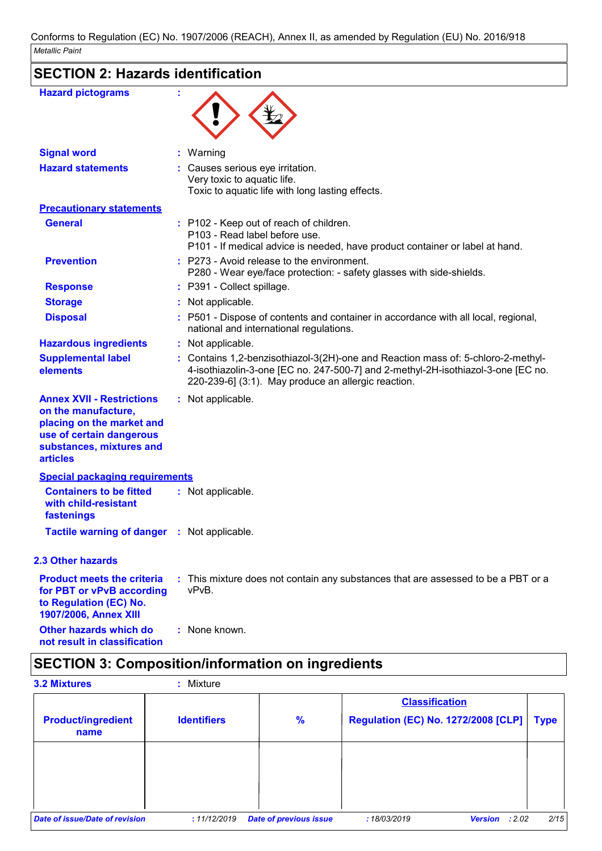| <b>SECTION 2: Hazards identification</b>                                                                                                                        |                                                                                                                                                                                                                             |  |
|-----------------------------------------------------------------------------------------------------------------------------------------------------------------|-----------------------------------------------------------------------------------------------------------------------------------------------------------------------------------------------------------------------------|--|
|                                                                                                                                                                 |                                                                                                                                                                                                                             |  |
| <b>Hazard pictograms</b>                                                                                                                                        |                                                                                                                                                                                                                             |  |
| <b>Signal word</b>                                                                                                                                              | : Warning                                                                                                                                                                                                                   |  |
| <b>Hazard statements</b>                                                                                                                                        | : Causes serious eye irritation.<br>Very toxic to aquatic life.<br>Toxic to aquatic life with long lasting effects.                                                                                                         |  |
| <b>Precautionary statements</b>                                                                                                                                 |                                                                                                                                                                                                                             |  |
| <b>General</b>                                                                                                                                                  | : P102 - Keep out of reach of children.<br>P103 - Read label before use.<br>P101 - If medical advice is needed, have product container or label at hand.                                                                    |  |
| <b>Prevention</b>                                                                                                                                               | $:$ P273 - Avoid release to the environment.<br>P280 - Wear eye/face protection: - safety glasses with side-shields.                                                                                                        |  |
| <b>Response</b>                                                                                                                                                 | : P391 - Collect spillage.                                                                                                                                                                                                  |  |
| <b>Storage</b>                                                                                                                                                  | : Not applicable.                                                                                                                                                                                                           |  |
| <b>Disposal</b>                                                                                                                                                 | : P501 - Dispose of contents and container in accordance with all local, regional,<br>national and international regulations.                                                                                               |  |
| <b>Hazardous ingredients</b>                                                                                                                                    | : Not applicable.                                                                                                                                                                                                           |  |
| <b>Supplemental label</b><br>elements                                                                                                                           | : Contains 1,2-benzisothiazol-3(2H)-one and Reaction mass of: 5-chloro-2-methyl-<br>4-isothiazolin-3-one [EC no. 247-500-7] and 2-methyl-2H-isothiazol-3-one [EC no.<br>220-239-6] (3:1). May produce an allergic reaction. |  |
| <b>Annex XVII - Restrictions</b><br>on the manufacture,<br>placing on the market and<br>use of certain dangerous<br>substances, mixtures and<br><b>articles</b> | : Not applicable.                                                                                                                                                                                                           |  |
| <b>Special packaging requirements</b>                                                                                                                           |                                                                                                                                                                                                                             |  |
| <b>Containers to be fitted</b><br>with child-resistant<br>fastenings                                                                                            | : Not applicable.                                                                                                                                                                                                           |  |
| <b>Tactile warning of danger : Not applicable.</b>                                                                                                              |                                                                                                                                                                                                                             |  |
| 2.3 Other hazards                                                                                                                                               |                                                                                                                                                                                                                             |  |
| <b>Product meets the criteria</b><br>for PBT or vPvB according<br>to Regulation (EC) No.<br>1907/2006, Annex XIII                                               | : This mixture does not contain any substances that are assessed to be a PBT or a<br>vPvB.                                                                                                                                  |  |
| Other hazards which do<br>not result in classification                                                                                                          | : None known.                                                                                                                                                                                                               |  |

## **SECTION 3: Composition/information on ingredients**

| <b>3.2 Mixtures</b>               | Mixture            |                               |                                            |             |
|-----------------------------------|--------------------|-------------------------------|--------------------------------------------|-------------|
|                                   |                    |                               | <b>Classification</b>                      |             |
| <b>Product/ingredient</b><br>name | <b>Identifiers</b> | $\frac{9}{6}$                 | <b>Regulation (EC) No. 1272/2008 [CLP]</b> | <b>Type</b> |
|                                   |                    |                               |                                            |             |
|                                   |                    |                               |                                            |             |
|                                   |                    |                               |                                            |             |
| Date of issue/Date of revision    | :11/12/2019        | <b>Date of previous issue</b> | :18/03/2019<br><b>Version</b><br>: 2.02    | 2/15        |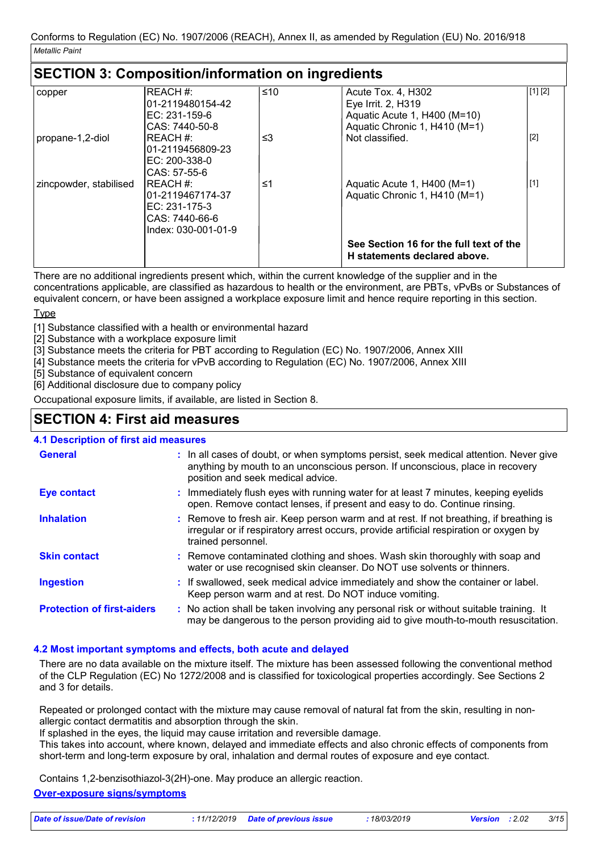## **SECTION 3: Composition/information on ingredients**

| copper                 | REACH#:<br>101-2119480154-42 | ≤10 | Acute Tox. 4, H302<br>Eye Irrit. 2, H319 | [1] [2] |
|------------------------|------------------------------|-----|------------------------------------------|---------|
|                        | EC: 231-159-6                |     | Aquatic Acute 1, H400 (M=10)             |         |
|                        | CAS: 7440-50-8               |     | Aquatic Chronic 1, H410 (M=1)            |         |
| propane-1,2-diol       | IREACH #:                    | ≤3  | Not classified.                          | $[2]$   |
|                        | 101-2119456809-23            |     |                                          |         |
|                        | EC: 200-338-0                |     |                                          |         |
|                        | CAS: 57-55-6                 |     |                                          |         |
| zincpowder, stabilised | IREACH #:                    | ≤1  | Aquatic Acute 1, H400 (M=1)              | $[1]$   |
|                        | 101-2119467174-37            |     | Aquatic Chronic 1, H410 (M=1)            |         |
|                        | $EC: 231-175-3$              |     |                                          |         |
|                        | CAS: 7440-66-6               |     |                                          |         |
|                        | Index: 030-001-01-9          |     |                                          |         |
|                        |                              |     |                                          |         |
|                        |                              |     | See Section 16 for the full text of the  |         |
|                        |                              |     | H statements declared above.             |         |

There are no additional ingredients present which, within the current knowledge of the supplier and in the concentrations applicable, are classified as hazardous to health or the environment, are PBTs, vPvBs or Substances of equivalent concern, or have been assigned a workplace exposure limit and hence require reporting in this section.

### **Type**

[1] Substance classified with a health or environmental hazard

- <sup>1</sup>2] Substance with a workplace exposure limit
- [3] Substance meets the criteria for PBT according to Regulation (EC) No. 1907/2006, Annex XIII
- [4] Substance meets the criteria for vPvB according to Regulation (EC) No. 1907/2006, Annex XIII

[5] Substance of equivalent concern

[6] Additional disclosure due to company policy

Occupational exposure limits, if available, are listed in Section 8.

## **SECTION 4: First aid measures**

### **4.1 Description of first aid measures**

| <b>General</b>                    | : In all cases of doubt, or when symptoms persist, seek medical attention. Never give<br>anything by mouth to an unconscious person. If unconscious, place in recovery<br>position and seek medical advice. |
|-----------------------------------|-------------------------------------------------------------------------------------------------------------------------------------------------------------------------------------------------------------|
| <b>Eye contact</b>                | : Immediately flush eyes with running water for at least 7 minutes, keeping eyelids<br>open. Remove contact lenses, if present and easy to do. Continue rinsing.                                            |
| <b>Inhalation</b>                 | : Remove to fresh air. Keep person warm and at rest. If not breathing, if breathing is<br>irregular or if respiratory arrest occurs, provide artificial respiration or oxygen by<br>trained personnel.      |
| <b>Skin contact</b>               | : Remove contaminated clothing and shoes. Wash skin thoroughly with soap and<br>water or use recognised skin cleanser. Do NOT use solvents or thinners.                                                     |
| <b>Ingestion</b>                  | : If swallowed, seek medical advice immediately and show the container or label.<br>Keep person warm and at rest. Do NOT induce vomiting.                                                                   |
| <b>Protection of first-aiders</b> | : No action shall be taken involving any personal risk or without suitable training. It<br>may be dangerous to the person providing aid to give mouth-to-mouth resuscitation.                               |

### **4.2 Most important symptoms and effects, both acute and delayed**

There are no data available on the mixture itself. The mixture has been assessed following the conventional method of the CLP Regulation (EC) No 1272/2008 and is classified for toxicological properties accordingly. See Sections 2 and 3 for details.

Repeated or prolonged contact with the mixture may cause removal of natural fat from the skin, resulting in nonallergic contact dermatitis and absorption through the skin.

If splashed in the eyes, the liquid may cause irritation and reversible damage.

This takes into account, where known, delayed and immediate effects and also chronic effects of components from short-term and long-term exposure by oral, inhalation and dermal routes of exposure and eye contact.

Contains 1,2-benzisothiazol-3(2H)-one. May produce an allergic reaction.

### **Over-exposure signs/symptoms**

| 18/03/2019<br>: 11/12/2019 Date of previous issue<br>Date of issue/Date of revision<br><b>Version</b> : 2.02 | 3/15 |
|--------------------------------------------------------------------------------------------------------------|------|
|--------------------------------------------------------------------------------------------------------------|------|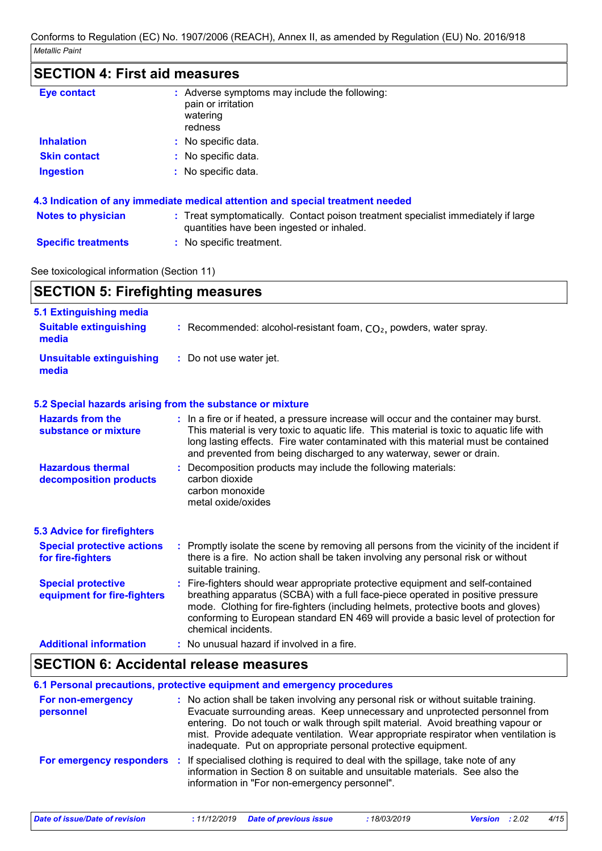## **SECTION 4: First aid measures**

| <b>Eye contact</b>        | : Adverse symptoms may include the following:<br>pain or irritation<br>watering<br>redness                                     |
|---------------------------|--------------------------------------------------------------------------------------------------------------------------------|
| <b>Inhalation</b>         | : No specific data.                                                                                                            |
| <b>Skin contact</b>       | : No specific data.                                                                                                            |
| <b>Ingestion</b>          | : No specific data.                                                                                                            |
|                           | 4.3 Indication of any immediate medical attention and special treatment needed                                                 |
| <b>Notes to physician</b> | : Treat symptomatically. Contact poison treatment specialist immediately if large<br>quantities have been ingested or inhaled. |
|                           |                                                                                                                                |

**Specific treatments :** No specific treatment.

### See toxicological information (Section 11)

| <b>SECTION 5: Firefighting measures</b>                  |                                                                                                                                                                                                                                                                                                                                                                           |  |
|----------------------------------------------------------|---------------------------------------------------------------------------------------------------------------------------------------------------------------------------------------------------------------------------------------------------------------------------------------------------------------------------------------------------------------------------|--|
| 5.1 Extinguishing media                                  |                                                                                                                                                                                                                                                                                                                                                                           |  |
| <b>Suitable extinguishing</b><br>media                   | : Recommended: alcohol-resistant foam, $CO2$ , powders, water spray.                                                                                                                                                                                                                                                                                                      |  |
| <b>Unsuitable extinguishing</b><br>media                 | : Do not use water jet.                                                                                                                                                                                                                                                                                                                                                   |  |
|                                                          | 5.2 Special hazards arising from the substance or mixture                                                                                                                                                                                                                                                                                                                 |  |
| <b>Hazards from the</b><br>substance or mixture          | : In a fire or if heated, a pressure increase will occur and the container may burst.<br>This material is very toxic to aquatic life. This material is toxic to aquatic life with<br>long lasting effects. Fire water contaminated with this material must be contained<br>and prevented from being discharged to any waterway, sewer or drain.                           |  |
| <b>Hazardous thermal</b><br>decomposition products       | Decomposition products may include the following materials:<br>carbon dioxide<br>carbon monoxide<br>metal oxide/oxides                                                                                                                                                                                                                                                    |  |
| <b>5.3 Advice for firefighters</b>                       |                                                                                                                                                                                                                                                                                                                                                                           |  |
| <b>Special protective actions</b><br>for fire-fighters   | : Promptly isolate the scene by removing all persons from the vicinity of the incident if<br>there is a fire. No action shall be taken involving any personal risk or without<br>suitable training.                                                                                                                                                                       |  |
| <b>Special protective</b><br>equipment for fire-fighters | Fire-fighters should wear appropriate protective equipment and self-contained<br>÷.<br>breathing apparatus (SCBA) with a full face-piece operated in positive pressure<br>mode. Clothing for fire-fighters (including helmets, protective boots and gloves)<br>conforming to European standard EN 469 will provide a basic level of protection for<br>chemical incidents. |  |
| <b>Additional information</b>                            | : No unusual hazard if involved in a fire.                                                                                                                                                                                                                                                                                                                                |  |

## **SECTION 6: Accidental release measures**

|                                | 6.1 Personal precautions, protective equipment and emergency procedures                                                                                                                                                                                                                                                                                                                                         |
|--------------------------------|-----------------------------------------------------------------------------------------------------------------------------------------------------------------------------------------------------------------------------------------------------------------------------------------------------------------------------------------------------------------------------------------------------------------|
| For non-emergency<br>personnel | : No action shall be taken involving any personal risk or without suitable training.<br>Evacuate surrounding areas. Keep unnecessary and unprotected personnel from<br>entering. Do not touch or walk through spilt material. Avoid breathing vapour or<br>mist. Provide adequate ventilation. Wear appropriate respirator when ventilation is<br>inadequate. Put on appropriate personal protective equipment. |
| For emergency responders :     | If specialised clothing is required to deal with the spillage, take note of any<br>information in Section 8 on suitable and unsuitable materials. See also the<br>information in "For non-emergency personnel".                                                                                                                                                                                                 |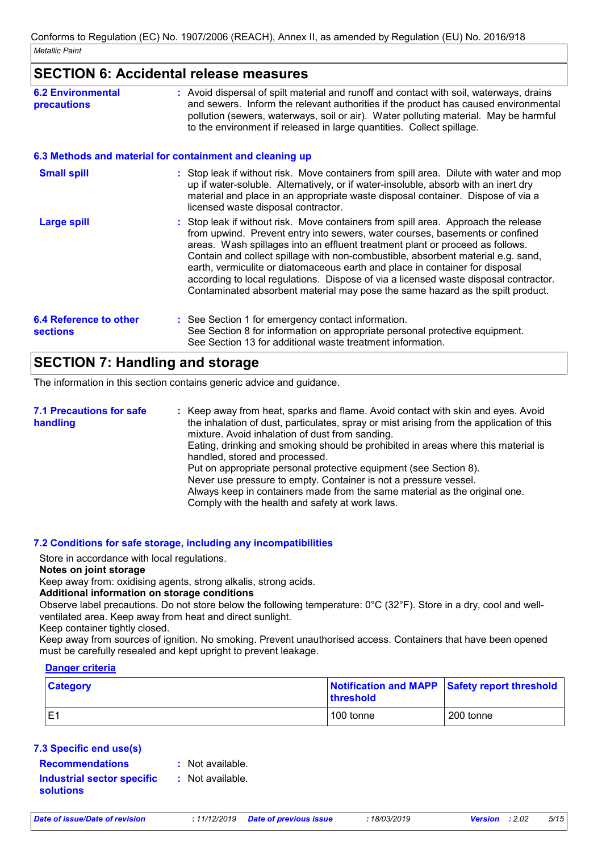### **SECTION 6: Accidental release measures**

| <b>6.2 Environmental</b><br>precautions   | : Avoid dispersal of spilt material and runoff and contact with soil, waterways, drains<br>and sewers. Inform the relevant authorities if the product has caused environmental<br>pollution (sewers, waterways, soil or air). Water polluting material. May be harmful<br>to the environment if released in large quantities. Collect spillage.                                                                                                                                                                                                                                                   |
|-------------------------------------------|---------------------------------------------------------------------------------------------------------------------------------------------------------------------------------------------------------------------------------------------------------------------------------------------------------------------------------------------------------------------------------------------------------------------------------------------------------------------------------------------------------------------------------------------------------------------------------------------------|
|                                           | 6.3 Methods and material for containment and cleaning up                                                                                                                                                                                                                                                                                                                                                                                                                                                                                                                                          |
| <b>Small spill</b>                        | : Stop leak if without risk. Move containers from spill area. Dilute with water and mop<br>up if water-soluble. Alternatively, or if water-insoluble, absorb with an inert dry<br>material and place in an appropriate waste disposal container. Dispose of via a<br>licensed waste disposal contractor.                                                                                                                                                                                                                                                                                          |
| <b>Large spill</b>                        | : Stop leak if without risk. Move containers from spill area. Approach the release<br>from upwind. Prevent entry into sewers, water courses, basements or confined<br>areas. Wash spillages into an effluent treatment plant or proceed as follows.<br>Contain and collect spillage with non-combustible, absorbent material e.g. sand,<br>earth, vermiculite or diatomaceous earth and place in container for disposal<br>according to local regulations. Dispose of via a licensed waste disposal contractor.<br>Contaminated absorbent material may pose the same hazard as the spilt product. |
| 6.4 Reference to other<br><b>sections</b> | : See Section 1 for emergency contact information.<br>See Section 8 for information on appropriate personal protective equipment.<br>See Section 13 for additional waste treatment information.                                                                                                                                                                                                                                                                                                                                                                                                   |

## **SECTION 7: Handling and storage**

The information in this section contains generic advice and guidance.

| <b>7.1 Precautions for safe</b><br>handling | : Keep away from heat, sparks and flame. Avoid contact with skin and eyes. Avoid<br>the inhalation of dust, particulates, spray or mist arising from the application of this<br>mixture. Avoid inhalation of dust from sanding.<br>Eating, drinking and smoking should be prohibited in areas where this material is<br>handled, stored and processed.<br>Put on appropriate personal protective equipment (see Section 8).<br>Never use pressure to empty. Container is not a pressure vessel. |
|---------------------------------------------|-------------------------------------------------------------------------------------------------------------------------------------------------------------------------------------------------------------------------------------------------------------------------------------------------------------------------------------------------------------------------------------------------------------------------------------------------------------------------------------------------|
|                                             | Always keep in containers made from the same material as the original one.<br>Comply with the health and safety at work laws.                                                                                                                                                                                                                                                                                                                                                                   |

#### **7.2 Conditions for safe storage, including any incompatibilities**

Store in accordance with local regulations.

### **Notes on joint storage**

Keep away from: oxidising agents, strong alkalis, strong acids.

### **Additional information on storage conditions**

Observe label precautions. Do not store below the following temperature: 0°C (32°F). Store in a dry, cool and wellventilated area. Keep away from heat and direct sunlight.

Keep container tightly closed.

Keep away from sources of ignition. No smoking. Prevent unauthorised access. Containers that have been opened must be carefully resealed and kept upright to prevent leakage.

### **Danger criteria**

| <b>Category</b> | threshold | Notification and MAPP Safety report threshold |
|-----------------|-----------|-----------------------------------------------|
|                 | 100 tonne | 200 tonne                                     |

### **7.3 Specific end use(s)**

- **Recommendations :**
- : Not available.

**Industrial sector specific : solutions**

: Not available.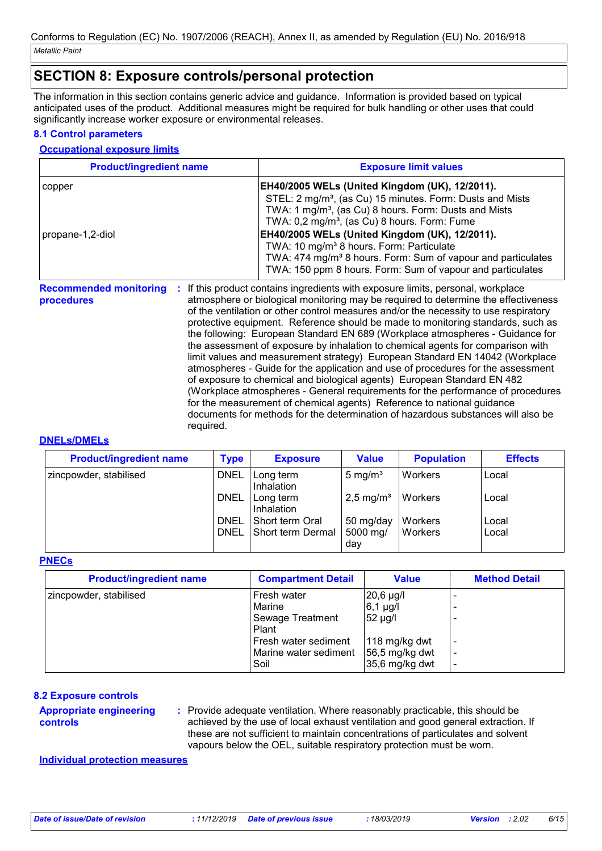## **SECTION 8: Exposure controls/personal protection**

The information in this section contains generic advice and guidance. Information is provided based on typical anticipated uses of the product. Additional measures might be required for bulk handling or other uses that could significantly increase worker exposure or environmental releases.

### **8.1 Control parameters**

### **Occupational exposure limits**

| <b>Product/ingredient name</b>                    | <b>Exposure limit values</b>                                                                                                                                                                                                                                                                                                                                                                                                                                                                                        |
|---------------------------------------------------|---------------------------------------------------------------------------------------------------------------------------------------------------------------------------------------------------------------------------------------------------------------------------------------------------------------------------------------------------------------------------------------------------------------------------------------------------------------------------------------------------------------------|
| copper                                            | EH40/2005 WELs (United Kingdom (UK), 12/2011).                                                                                                                                                                                                                                                                                                                                                                                                                                                                      |
|                                                   | STEL: 2 mg/m <sup>3</sup> , (as Cu) 15 minutes. Form: Dusts and Mists                                                                                                                                                                                                                                                                                                                                                                                                                                               |
|                                                   | TWA: 1 mg/m <sup>3</sup> , (as Cu) 8 hours. Form: Dusts and Mists<br>TWA: 0,2 mg/m <sup>3</sup> , (as Cu) 8 hours. Form: Fume                                                                                                                                                                                                                                                                                                                                                                                       |
| propane-1,2-diol                                  | EH40/2005 WELs (United Kingdom (UK), 12/2011).                                                                                                                                                                                                                                                                                                                                                                                                                                                                      |
|                                                   | TWA: 10 mg/m <sup>3</sup> 8 hours. Form: Particulate                                                                                                                                                                                                                                                                                                                                                                                                                                                                |
|                                                   | TWA: 474 mg/m <sup>3</sup> 8 hours. Form: Sum of vapour and particulates                                                                                                                                                                                                                                                                                                                                                                                                                                            |
|                                                   | TWA: 150 ppm 8 hours. Form: Sum of vapour and particulates                                                                                                                                                                                                                                                                                                                                                                                                                                                          |
| <b>Recommended monitoring</b><br>÷.<br>procedures | If this product contains ingredients with exposure limits, personal, workplace<br>atmosphere or biological monitoring may be required to determine the effectiveness<br>of the ventilation or other control measures and/or the necessity to use respiratory<br>protective equipment. Reference should be made to monitoring standards, such as<br>the following: European Standard EN 689 (Workplace atmospheres - Guidance for<br>the assessment of exposure by inhalation to chemical agents for comparison with |
|                                                   | limit values and measurement strategy) European Standard EN 14042 (Workplace                                                                                                                                                                                                                                                                                                                                                                                                                                        |

atmospheres - Guide for the application and use of procedures for the assessment of exposure to chemical and biological agents) European Standard EN 482 (Workplace atmospheres - General requirements for the performance of procedures for the measurement of chemical agents) Reference to national guidance documents for methods for the determination of hazardous substances will also be required.

#### **DNELs/DMELs**

| <b>Product/ingredient name</b> | <b>Type</b> | <b>Exposure</b>         | <b>Value</b>            | <b>Population</b> | <b>Effects</b> |
|--------------------------------|-------------|-------------------------|-------------------------|-------------------|----------------|
| zincpowder, stabilised         | <b>DNEL</b> | Long term<br>Inhalation | 5 mg/ $m3$              | Workers           | Local          |
|                                | <b>DNEL</b> | Long term<br>Inhalation | $2,5$ mg/m <sup>3</sup> | Workers           | Local          |
|                                | DNEL        | I Short term Oral       | 50 mg/day               | Workers           | Local          |
|                                | DNEL        | Short term Dermal       | 5000 mg/<br>day         | Workers           | Local          |

### **PNECs**

| <b>Product/ingredient name</b> | <b>Compartment Detail</b> | Value            | <b>Method Detail</b> |
|--------------------------------|---------------------------|------------------|----------------------|
| zincpowder, stabilised         | Fresh water               | $20,6 \mu g/l$   |                      |
|                                | Marine                    | $6,1 \mu g/l$    |                      |
|                                | Sewage Treatment          | 52 µg/l          |                      |
|                                | Plant                     |                  |                      |
|                                | Fresh water sediment      | 118 mg/kg dwt    |                      |
|                                | Marine water sediment     | 56,5 mg/kg dwt   |                      |
|                                | Soil                      | $35,6$ mg/kg dwt |                      |

### **8.2 Exposure controls**

#### **Appropriate engineering controls**

Provide adequate ventilation. Where reasonably practicable, this should be **:** achieved by the use of local exhaust ventilation and good general extraction. If these are not sufficient to maintain concentrations of particulates and solvent vapours below the OEL, suitable respiratory protection must be worn.

**Individual protection measures**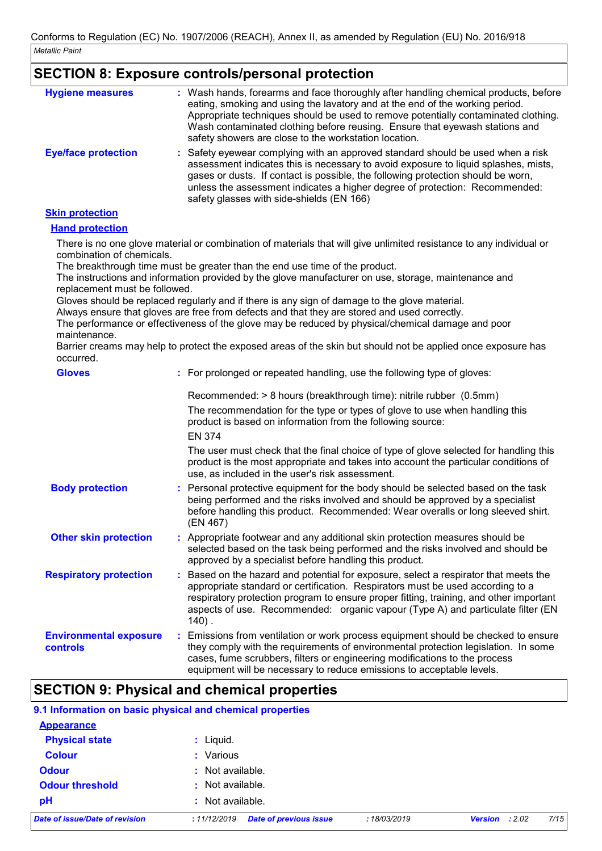|                                                            | <b>SECTION 8: Exposure controls/personal protection</b>                                                                                                                                                                                                                                                                                                                                                            |
|------------------------------------------------------------|--------------------------------------------------------------------------------------------------------------------------------------------------------------------------------------------------------------------------------------------------------------------------------------------------------------------------------------------------------------------------------------------------------------------|
| <b>Hygiene measures</b>                                    | : Wash hands, forearms and face thoroughly after handling chemical products, before<br>eating, smoking and using the lavatory and at the end of the working period.<br>Appropriate techniques should be used to remove potentially contaminated clothing.<br>Wash contaminated clothing before reusing. Ensure that eyewash stations and<br>safety showers are close to the workstation location.                  |
| <b>Eye/face protection</b>                                 | : Safety eyewear complying with an approved standard should be used when a risk<br>assessment indicates this is necessary to avoid exposure to liquid splashes, mists,<br>gases or dusts. If contact is possible, the following protection should be worn,<br>unless the assessment indicates a higher degree of protection: Recommended:<br>safety glasses with side-shields (EN 166)                             |
| <b>Skin protection</b>                                     |                                                                                                                                                                                                                                                                                                                                                                                                                    |
| <b>Hand protection</b>                                     |                                                                                                                                                                                                                                                                                                                                                                                                                    |
| combination of chemicals.<br>replacement must be followed. | There is no one glove material or combination of materials that will give unlimited resistance to any individual or<br>The breakthrough time must be greater than the end use time of the product.<br>The instructions and information provided by the glove manufacturer on use, storage, maintenance and                                                                                                         |
| maintenance.                                               | Gloves should be replaced regularly and if there is any sign of damage to the glove material.<br>Always ensure that gloves are free from defects and that they are stored and used correctly.<br>The performance or effectiveness of the glove may be reduced by physical/chemical damage and poor<br>Barrier creams may help to protect the exposed areas of the skin but should not be applied once exposure has |
| occurred.                                                  |                                                                                                                                                                                                                                                                                                                                                                                                                    |
| <b>Gloves</b>                                              | : For prolonged or repeated handling, use the following type of gloves:                                                                                                                                                                                                                                                                                                                                            |
|                                                            | Recommended: > 8 hours (breakthrough time): nitrile rubber (0.5mm)                                                                                                                                                                                                                                                                                                                                                 |
|                                                            | The recommendation for the type or types of glove to use when handling this<br>product is based on information from the following source:                                                                                                                                                                                                                                                                          |
|                                                            | <b>EN 374</b>                                                                                                                                                                                                                                                                                                                                                                                                      |
|                                                            | The user must check that the final choice of type of glove selected for handling this<br>product is the most appropriate and takes into account the particular conditions of<br>use, as included in the user's risk assessment.                                                                                                                                                                                    |
| <b>Body protection</b>                                     | : Personal protective equipment for the body should be selected based on the task<br>being performed and the risks involved and should be approved by a specialist<br>before handling this product. Recommended: Wear overalls or long sleeved shirt.<br>(EN 467)                                                                                                                                                  |
| <b>Other skin protection</b>                               | Appropriate footwear and any additional skin protection measures should be<br>selected based on the task being performed and the risks involved and should be<br>approved by a specialist before handling this product.                                                                                                                                                                                            |
| <b>Respiratory protection</b>                              | Based on the hazard and potential for exposure, select a respirator that meets the<br>appropriate standard or certification. Respirators must be used according to a<br>respiratory protection program to ensure proper fitting, training, and other important<br>aspects of use. Recommended: organic vapour (Type A) and particulate filter (EN<br>$140$ .                                                       |
| <b>Environmental exposure</b><br>controls                  | Emissions from ventilation or work process equipment should be checked to ensure<br>they comply with the requirements of environmental protection legislation. In some<br>cases, fume scrubbers, filters or engineering modifications to the process<br>equipment will be necessary to reduce emissions to acceptable levels.                                                                                      |

## **SECTION 9: Physical and chemical properties**

|                                | 9.1 Information on basic physical and chemical properties |             |                                  |
|--------------------------------|-----------------------------------------------------------|-------------|----------------------------------|
| <b>Appearance</b>              |                                                           |             |                                  |
| <b>Physical state</b>          | $:$ Liquid.                                               |             |                                  |
| <b>Colour</b>                  | : Various                                                 |             |                                  |
| <b>Odour</b>                   | : Not available.                                          |             |                                  |
| <b>Odour threshold</b>         | : Not available.                                          |             |                                  |
| pH                             | Not available.                                            |             |                                  |
| Date of issue/Date of revision | <b>Date of previous issue</b><br>:11/12/2019              | :18/03/2019 | 7/15<br><b>Version</b><br>: 2.02 |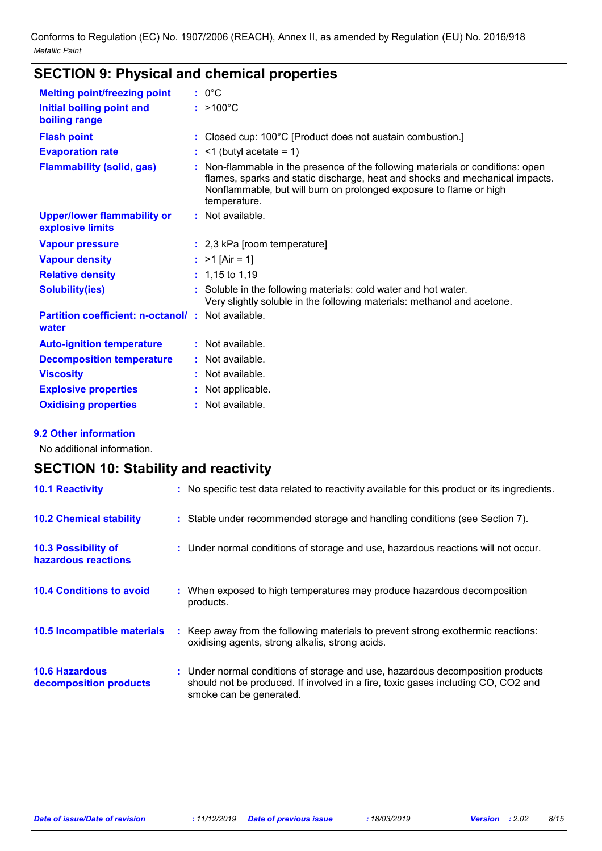| <b>Melting point/freezing point</b>                               | $: 0^{\circ}C$                                                                                                                                                                                                                                       |
|-------------------------------------------------------------------|------------------------------------------------------------------------------------------------------------------------------------------------------------------------------------------------------------------------------------------------------|
| Initial boiling point and<br>boiling range                        | $: >100^{\circ}$ C                                                                                                                                                                                                                                   |
| <b>Flash point</b>                                                | : Closed cup: 100°C [Product does not sustain combustion.]                                                                                                                                                                                           |
| <b>Evaporation rate</b>                                           | $:$ <1 (butyl acetate = 1)                                                                                                                                                                                                                           |
| <b>Flammability (solid, gas)</b>                                  | : Non-flammable in the presence of the following materials or conditions: open<br>flames, sparks and static discharge, heat and shocks and mechanical impacts.<br>Nonflammable, but will burn on prolonged exposure to flame or high<br>temperature. |
| <b>Upper/lower flammability or</b><br>explosive limits            | : Not available.                                                                                                                                                                                                                                     |
| <b>Vapour pressure</b>                                            | : 2,3 kPa [room temperature]                                                                                                                                                                                                                         |
| <b>Vapour density</b>                                             | : $>1$ [Air = 1]                                                                                                                                                                                                                                     |
| <b>Relative density</b>                                           | $: 1,15$ to 1,19                                                                                                                                                                                                                                     |
| <b>Solubility(ies)</b>                                            | : Soluble in the following materials: cold water and hot water.<br>Very slightly soluble in the following materials: methanol and acetone.                                                                                                           |
| <b>Partition coefficient: n-octanol/: Not available.</b><br>water |                                                                                                                                                                                                                                                      |
| <b>Auto-ignition temperature</b>                                  | : Not available.                                                                                                                                                                                                                                     |
| <b>Decomposition temperature</b>                                  | $:$ Not available.                                                                                                                                                                                                                                   |
| <b>Viscosity</b>                                                  | : Not available.                                                                                                                                                                                                                                     |
| <b>Explosive properties</b>                                       | : Not applicable.                                                                                                                                                                                                                                    |
| <b>Oxidising properties</b>                                       | $:$ Not available.                                                                                                                                                                                                                                   |

## **SECTION 9: Physical and chemical properties**

### **9.2 Other information**

No additional information.

| <b>SECTION 10: Stability and reactivity</b>       |                                                                                                                                                                                               |  |  |
|---------------------------------------------------|-----------------------------------------------------------------------------------------------------------------------------------------------------------------------------------------------|--|--|
| <b>10.1 Reactivity</b>                            | : No specific test data related to reactivity available for this product or its ingredients.                                                                                                  |  |  |
| <b>10.2 Chemical stability</b>                    | : Stable under recommended storage and handling conditions (see Section 7).                                                                                                                   |  |  |
| <b>10.3 Possibility of</b><br>hazardous reactions | : Under normal conditions of storage and use, hazardous reactions will not occur.                                                                                                             |  |  |
| <b>10.4 Conditions to avoid</b>                   | : When exposed to high temperatures may produce hazardous decomposition<br>products.                                                                                                          |  |  |
| 10.5 Incompatible materials                       | : Keep away from the following materials to prevent strong exothermic reactions:<br>oxidising agents, strong alkalis, strong acids.                                                           |  |  |
| <b>10.6 Hazardous</b><br>decomposition products   | : Under normal conditions of storage and use, hazardous decomposition products<br>should not be produced. If involved in a fire, toxic gases including CO, CO2 and<br>smoke can be generated. |  |  |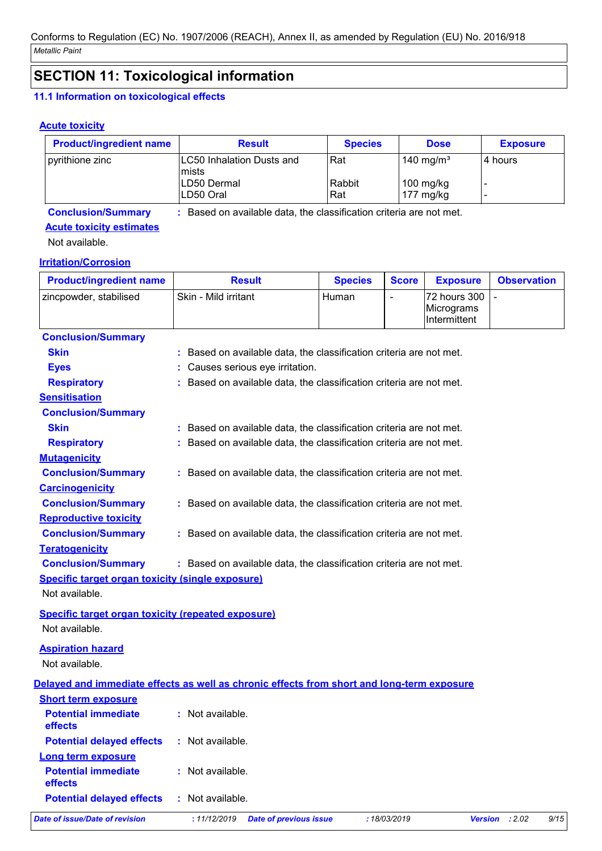## **SECTION 11: Toxicological information**

### **11.1 Information on toxicological effects**

### **Acute toxicity**

| <b>Product/ingredient name</b> | <b>Result</b>                                                       | <b>Species</b> | <b>Dose</b>                | <b>Exposure</b> |
|--------------------------------|---------------------------------------------------------------------|----------------|----------------------------|-----------------|
| pyrithione zinc                | <b>LC50 Inhalation Dusts and</b><br>mists                           | l Rat          | 140 mg/m <sup>3</sup>      | 4 hours         |
|                                | LD50 Dermal<br>LD50 Oral                                            | Rabbit<br>Rat  | $100$ mg/kg<br>177 $mg/kg$ |                 |
| <b>Conclusion/Summary</b>      | : Based on available data, the classification criteria are not met. |                |                            |                 |

## **Acute toxicity estimates**

Not available.

### **Irritation/Corrosion**

| <b>Product/ingredient name</b>                            | <b>Result</b>                                                                              | <b>Species</b> | <b>Score</b>   | <b>Exposure</b>                            | <b>Observation</b> |
|-----------------------------------------------------------|--------------------------------------------------------------------------------------------|----------------|----------------|--------------------------------------------|--------------------|
| zincpowder, stabilised                                    | Skin - Mild irritant                                                                       | Human          | $\blacksquare$ | 72 hours 300<br>Micrograms<br>Intermittent |                    |
| <b>Conclusion/Summary</b>                                 |                                                                                            |                |                |                                            |                    |
| <b>Skin</b>                                               | : Based on available data, the classification criteria are not met.                        |                |                |                                            |                    |
| <b>Eyes</b>                                               | : Causes serious eye irritation.                                                           |                |                |                                            |                    |
| <b>Respiratory</b>                                        | : Based on available data, the classification criteria are not met.                        |                |                |                                            |                    |
| <b>Sensitisation</b>                                      |                                                                                            |                |                |                                            |                    |
| <b>Conclusion/Summary</b>                                 |                                                                                            |                |                |                                            |                    |
| <b>Skin</b>                                               | : Based on available data, the classification criteria are not met.                        |                |                |                                            |                    |
| <b>Respiratory</b>                                        | : Based on available data, the classification criteria are not met.                        |                |                |                                            |                    |
| <b>Mutagenicity</b>                                       |                                                                                            |                |                |                                            |                    |
| <b>Conclusion/Summary</b>                                 | : Based on available data, the classification criteria are not met.                        |                |                |                                            |                    |
| <b>Carcinogenicity</b>                                    |                                                                                            |                |                |                                            |                    |
| <b>Conclusion/Summary</b>                                 | : Based on available data, the classification criteria are not met.                        |                |                |                                            |                    |
| <b>Reproductive toxicity</b>                              |                                                                                            |                |                |                                            |                    |
| <b>Conclusion/Summary</b>                                 | : Based on available data, the classification criteria are not met.                        |                |                |                                            |                    |
| <b>Teratogenicity</b>                                     |                                                                                            |                |                |                                            |                    |
| <b>Conclusion/Summary</b>                                 | : Based on available data, the classification criteria are not met.                        |                |                |                                            |                    |
| <b>Specific target organ toxicity (single exposure)</b>   |                                                                                            |                |                |                                            |                    |
| Not available.                                            |                                                                                            |                |                |                                            |                    |
| <b>Specific target organ toxicity (repeated exposure)</b> |                                                                                            |                |                |                                            |                    |
| Not available.                                            |                                                                                            |                |                |                                            |                    |
| <b>Aspiration hazard</b>                                  |                                                                                            |                |                |                                            |                    |
| Not available.                                            |                                                                                            |                |                |                                            |                    |
|                                                           |                                                                                            |                |                |                                            |                    |
|                                                           | Delayed and immediate effects as well as chronic effects from short and long-term exposure |                |                |                                            |                    |
| <b>Short term exposure</b>                                |                                                                                            |                |                |                                            |                    |
| <b>Potential immediate</b><br>effects                     | : Not available.                                                                           |                |                |                                            |                    |
| <b>Potential delayed effects</b>                          | : Not available.                                                                           |                |                |                                            |                    |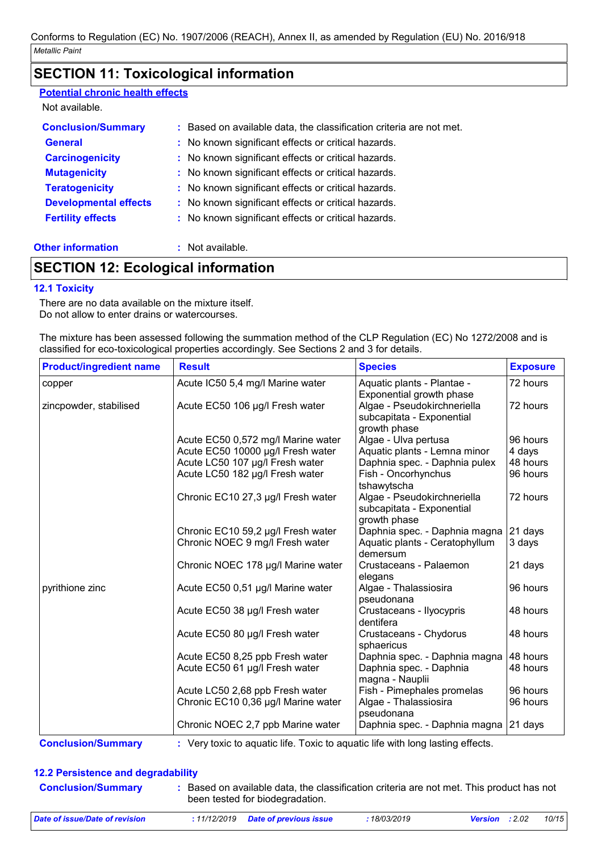## **SECTION 11: Toxicological information**

| <b>Potential chronic health effects</b> |                                                                     |
|-----------------------------------------|---------------------------------------------------------------------|
| Not available.                          |                                                                     |
| <b>Conclusion/Summary</b>               | : Based on available data, the classification criteria are not met. |
| <b>General</b>                          | : No known significant effects or critical hazards.                 |
| <b>Carcinogenicity</b>                  | : No known significant effects or critical hazards.                 |
| <b>Mutagenicity</b>                     | : No known significant effects or critical hazards.                 |
| <b>Teratogenicity</b>                   | : No known significant effects or critical hazards.                 |
| <b>Developmental effects</b>            | : No known significant effects or critical hazards.                 |
| <b>Fertility effects</b>                | : No known significant effects or critical hazards.                 |
| <b>Other information</b>                | $:$ Not available.                                                  |

## **SECTION 12: Ecological information**

### **12.1 Toxicity**

There are no data available on the mixture itself. Do not allow to enter drains or watercourses.

The mixture has been assessed following the summation method of the CLP Regulation (EC) No 1272/2008 and is classified for eco-toxicological properties accordingly. See Sections 2 and 3 for details.

| <b>Product/ingredient name</b> | <b>Result</b>                       | <b>Species</b>                                                                                       | <b>Exposure</b> |
|--------------------------------|-------------------------------------|------------------------------------------------------------------------------------------------------|-----------------|
| copper                         | Acute IC50 5,4 mg/l Marine water    | Aquatic plants - Plantae -                                                                           | 72 hours        |
| zincpowder, stabilised         | Acute EC50 106 µg/l Fresh water     | Exponential growth phase<br>Algae - Pseudokirchneriella<br>subcapitata - Exponential<br>growth phase | 72 hours        |
|                                | Acute EC50 0,572 mg/l Marine water  | Algae - Ulva pertusa                                                                                 | 96 hours        |
|                                | Acute EC50 10000 µg/l Fresh water   | Aquatic plants - Lemna minor                                                                         | 4 days          |
|                                | Acute LC50 107 µg/l Fresh water     | Daphnia spec. - Daphnia pulex                                                                        | 48 hours        |
|                                | Acute LC50 182 µg/l Fresh water     | Fish - Oncorhynchus<br>tshawytscha                                                                   | 96 hours        |
|                                | Chronic EC10 27,3 µg/l Fresh water  | Algae - Pseudokirchneriella<br>subcapitata - Exponential<br>growth phase                             | 72 hours        |
|                                | Chronic EC10 59,2 µg/l Fresh water  | Daphnia spec. - Daphnia magna                                                                        | 21 days         |
|                                | Chronic NOEC 9 mg/l Fresh water     | Aquatic plants - Ceratophyllum<br>demersum                                                           | 3 days          |
|                                | Chronic NOEC 178 µg/l Marine water  | Crustaceans - Palaemon<br>elegans                                                                    | 21 days         |
| pyrithione zinc                | Acute EC50 0,51 µg/l Marine water   | Algae - Thalassiosira<br>pseudonana                                                                  | 96 hours        |
|                                | Acute EC50 38 µg/l Fresh water      | Crustaceans - Ilyocypris<br>dentifera                                                                | 48 hours        |
|                                | Acute EC50 80 µg/l Fresh water      | Crustaceans - Chydorus<br>sphaericus                                                                 | 48 hours        |
|                                | Acute EC50 8,25 ppb Fresh water     | Daphnia spec. - Daphnia magna                                                                        | 48 hours        |
|                                | Acute EC50 61 µg/l Fresh water      | Daphnia spec. - Daphnia<br>magna - Nauplii                                                           | 48 hours        |
|                                | Acute LC50 2,68 ppb Fresh water     | Fish - Pimephales promelas                                                                           | 96 hours        |
|                                | Chronic EC10 0,36 µg/l Marine water | Algae - Thalassiosira<br>pseudonana                                                                  | 96 hours        |
|                                | Chronic NOEC 2,7 ppb Marine water   | Daphnia spec. - Daphnia magna                                                                        | 21 days         |

**Conclusion/Summary :** Very toxic to aquatic life. Toxic to aquatic life with long lasting effects.

### **12.2 Persistence and degradability**

| <b>Conclusion/Summary</b>      | been tested for biodegradation.       |             | Based on available data, the classification criteria are not met. This product has not |
|--------------------------------|---------------------------------------|-------------|----------------------------------------------------------------------------------------|
| Date of issue/Date of revision | $: 11/12/2019$ Date of previous issue | :18/03/2019 | 10/15<br><b>Version</b> : 2.02                                                         |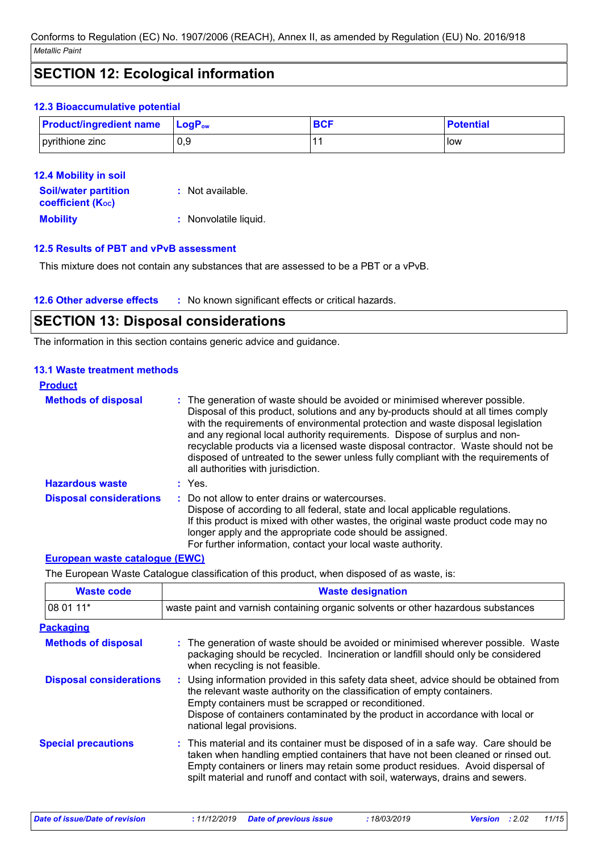## **SECTION 12: Ecological information**

### **12.3 Bioaccumulative potential**

| <b>Product/ingredient name</b> | <b>⊥LoɑP</b> ow | <b>BCF</b> | <b>Potential</b> |
|--------------------------------|-----------------|------------|------------------|
| pyrithione zinc                | 0.9             |            | i low            |

| <b>12.4 Mobility in soil</b>                            |                       |
|---------------------------------------------------------|-----------------------|
| <b>Soil/water partition</b><br><b>coefficient (Koc)</b> | : Not available.      |
| <b>Mobility</b>                                         | : Nonvolatile liquid. |

### **12.5 Results of PBT and vPvB assessment**

This mixture does not contain any substances that are assessed to be a PBT or a vPvB.

**12.6 Other adverse effects** : No known significant effects or critical hazards.

### **SECTION 13: Disposal considerations**

The information in this section contains generic advice and guidance.

### **13.1 Waste treatment methods**

| <b>Product</b>                 |                                                                                                                                                                                                                                                                                                                                                                                                                                                                                                                                                      |
|--------------------------------|------------------------------------------------------------------------------------------------------------------------------------------------------------------------------------------------------------------------------------------------------------------------------------------------------------------------------------------------------------------------------------------------------------------------------------------------------------------------------------------------------------------------------------------------------|
| <b>Methods of disposal</b>     | : The generation of waste should be avoided or minimised wherever possible.<br>Disposal of this product, solutions and any by-products should at all times comply<br>with the requirements of environmental protection and waste disposal legislation<br>and any regional local authority requirements. Dispose of surplus and non-<br>recyclable products via a licensed waste disposal contractor. Waste should not be<br>disposed of untreated to the sewer unless fully compliant with the requirements of<br>all authorities with jurisdiction. |
| <b>Hazardous waste</b>         | : Yes                                                                                                                                                                                                                                                                                                                                                                                                                                                                                                                                                |
| <b>Disposal considerations</b> | : Do not allow to enter drains or watercourses.<br>Dispose of according to all federal, state and local applicable regulations.<br>If this product is mixed with other wastes, the original waste product code may no<br>longer apply and the appropriate code should be assigned.<br>For further information, contact your local waste authority.                                                                                                                                                                                                   |

#### **European waste catalogue (EWC)**

The European Waste Catalogue classification of this product, when disposed of as waste, is:

| <b>Waste code</b>              | <b>Waste designation</b>                                                                                                                                                                                                                                                                                                                     |  |  |  |
|--------------------------------|----------------------------------------------------------------------------------------------------------------------------------------------------------------------------------------------------------------------------------------------------------------------------------------------------------------------------------------------|--|--|--|
| 08 01 11*                      | waste paint and varnish containing organic solvents or other hazardous substances                                                                                                                                                                                                                                                            |  |  |  |
| <b>Packaging</b>               |                                                                                                                                                                                                                                                                                                                                              |  |  |  |
| <b>Methods of disposal</b>     | : The generation of waste should be avoided or minimised wherever possible. Waste<br>packaging should be recycled. Incineration or landfill should only be considered<br>when recycling is not feasible.                                                                                                                                     |  |  |  |
| <b>Disposal considerations</b> | : Using information provided in this safety data sheet, advice should be obtained from<br>the relevant waste authority on the classification of empty containers.<br>Empty containers must be scrapped or reconditioned.<br>Dispose of containers contaminated by the product in accordance with local or<br>national legal provisions.      |  |  |  |
| <b>Special precautions</b>     | : This material and its container must be disposed of in a safe way. Care should be<br>taken when handling emptied containers that have not been cleaned or rinsed out.<br>Empty containers or liners may retain some product residues. Avoid dispersal of<br>spilt material and runoff and contact with soil, waterways, drains and sewers. |  |  |  |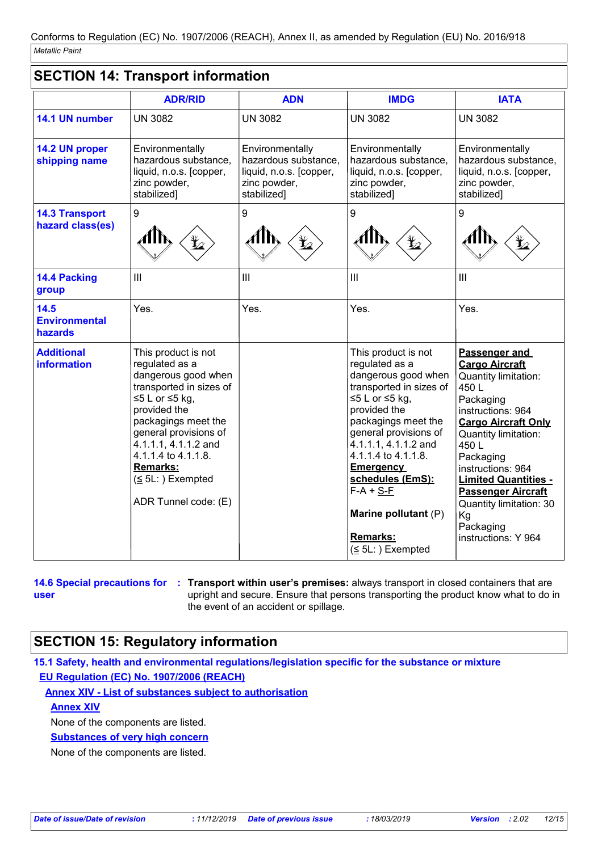### **SECTION 14: Transport information**

|                                           | <b>ADR/RID</b>                                                                                                                                                                                                                                                                          | <b>ADN</b>                                                                                        | <b>IMDG</b>                                                                                                                                                                                                                                                                                                                                    | <b>IATA</b>                                                                                                                                                                                                                                                                                                                               |
|-------------------------------------------|-----------------------------------------------------------------------------------------------------------------------------------------------------------------------------------------------------------------------------------------------------------------------------------------|---------------------------------------------------------------------------------------------------|------------------------------------------------------------------------------------------------------------------------------------------------------------------------------------------------------------------------------------------------------------------------------------------------------------------------------------------------|-------------------------------------------------------------------------------------------------------------------------------------------------------------------------------------------------------------------------------------------------------------------------------------------------------------------------------------------|
| 14.1 UN number                            | <b>UN 3082</b>                                                                                                                                                                                                                                                                          | <b>UN 3082</b>                                                                                    | <b>UN 3082</b>                                                                                                                                                                                                                                                                                                                                 | <b>UN 3082</b>                                                                                                                                                                                                                                                                                                                            |
| 14.2 UN proper<br>shipping name           | Environmentally<br>hazardous substance,<br>liquid, n.o.s. [copper,<br>zinc powder,<br>stabilized]                                                                                                                                                                                       | Environmentally<br>hazardous substance,<br>liquid, n.o.s. [copper,<br>zinc powder,<br>stabilized] | Environmentally<br>hazardous substance,<br>liquid, n.o.s. [copper,<br>zinc powder,<br>stabilized]                                                                                                                                                                                                                                              | Environmentally<br>hazardous substance,<br>liquid, n.o.s. [copper,<br>zinc powder,<br>stabilized]                                                                                                                                                                                                                                         |
| <b>14.3 Transport</b><br>hazard class(es) | 9                                                                                                                                                                                                                                                                                       | 9                                                                                                 | 9                                                                                                                                                                                                                                                                                                                                              | 9                                                                                                                                                                                                                                                                                                                                         |
| 14.4 Packing<br>group                     | III                                                                                                                                                                                                                                                                                     | III                                                                                               | III                                                                                                                                                                                                                                                                                                                                            | III                                                                                                                                                                                                                                                                                                                                       |
| 14.5<br><b>Environmental</b><br>hazards   | Yes.                                                                                                                                                                                                                                                                                    | Yes.                                                                                              | Yes.                                                                                                                                                                                                                                                                                                                                           | Yes.                                                                                                                                                                                                                                                                                                                                      |
| <b>Additional</b><br><b>information</b>   | This product is not<br>regulated as a<br>dangerous good when<br>transported in sizes of<br>≤5 L or ≤5 kg,<br>provided the<br>packagings meet the<br>general provisions of<br>4.1.1.1, 4.1.1.2 and<br>4.1.1.4 to 4.1.1.8.<br><b>Remarks:</b><br>$(5L:)$ Exempted<br>ADR Tunnel code: (E) |                                                                                                   | This product is not<br>regulated as a<br>dangerous good when<br>transported in sizes of<br>≤5 L or ≤5 kg,<br>provided the<br>packagings meet the<br>general provisions of<br>4.1.1.1, 4.1.1.2 and<br>4.1.1.4 to 4.1.1.8.<br><b>Emergency</b><br>schedules (EmS):<br>$F-A + S-F$<br>Marine pollutant (P)<br><b>Remarks:</b><br>$(5L:)$ Exempted | Passenger and<br><b>Cargo Aircraft</b><br>Quantity limitation:<br>450L<br>Packaging<br>instructions: 964<br><b>Cargo Aircraft Only</b><br>Quantity limitation:<br>450L<br>Packaging<br>instructions: 964<br><b>Limited Quantities -</b><br><b>Passenger Aircraft</b><br>Quantity limitation: 30<br>Kg<br>Packaging<br>instructions: Y 964 |

**user**

**14.6 Special precautions for : Transport within user's premises: always transport in closed containers that are** upright and secure. Ensure that persons transporting the product know what to do in the event of an accident or spillage.

## **SECTION 15: Regulatory information**

**15.1 Safety, health and environmental regulations/legislation specific for the substance or mixture EU Regulation (EC) No. 1907/2006 (REACH)**

**Annex XIV - List of substances subject to authorisation**

**Annex XIV**

None of the components are listed.

**Substances of very high concern**

None of the components are listed.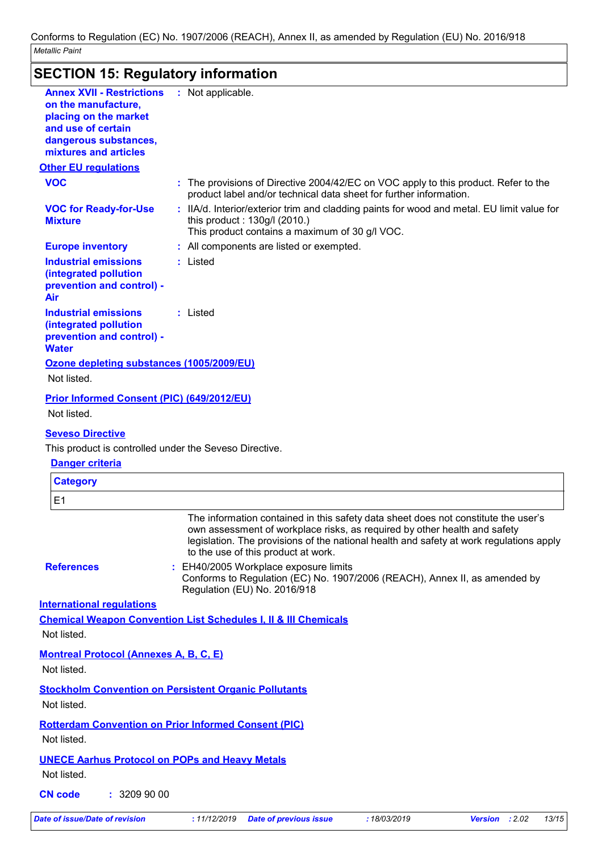## **SECTION 15: Regulatory information**

| <b>Annex XVII - Restrictions</b><br>on the manufacture,                                           | : Not applicable.                                                                                                                                                                                                                                                                                 |
|---------------------------------------------------------------------------------------------------|---------------------------------------------------------------------------------------------------------------------------------------------------------------------------------------------------------------------------------------------------------------------------------------------------|
| placing on the market                                                                             |                                                                                                                                                                                                                                                                                                   |
| and use of certain                                                                                |                                                                                                                                                                                                                                                                                                   |
| dangerous substances,<br>mixtures and articles                                                    |                                                                                                                                                                                                                                                                                                   |
| <b>Other EU regulations</b>                                                                       |                                                                                                                                                                                                                                                                                                   |
| <b>VOC</b>                                                                                        | : The provisions of Directive 2004/42/EC on VOC apply to this product. Refer to the<br>product label and/or technical data sheet for further information.                                                                                                                                         |
| <b>VOC for Ready-for-Use</b><br><b>Mixture</b>                                                    | : IIA/d. Interior/exterior trim and cladding paints for wood and metal. EU limit value for<br>this product: 130g/l (2010.)<br>This product contains a maximum of 30 g/l VOC.                                                                                                                      |
| <b>Europe inventory</b>                                                                           | : All components are listed or exempted.                                                                                                                                                                                                                                                          |
| <b>Industrial emissions</b>                                                                       | : Listed                                                                                                                                                                                                                                                                                          |
| (integrated pollution<br>prevention and control) -<br>Air                                         |                                                                                                                                                                                                                                                                                                   |
| <b>Industrial emissions</b><br>(integrated pollution<br>prevention and control) -<br><b>Water</b> | : Listed                                                                                                                                                                                                                                                                                          |
|                                                                                                   |                                                                                                                                                                                                                                                                                                   |
| Ozone depleting substances (1005/2009/EU)<br>Not listed.                                          |                                                                                                                                                                                                                                                                                                   |
|                                                                                                   |                                                                                                                                                                                                                                                                                                   |
| <b>Prior Informed Consent (PIC) (649/2012/EU)</b>                                                 |                                                                                                                                                                                                                                                                                                   |
| Not listed.                                                                                       |                                                                                                                                                                                                                                                                                                   |
| <b>Seveso Directive</b>                                                                           |                                                                                                                                                                                                                                                                                                   |
| This product is controlled under the Seveso Directive.                                            |                                                                                                                                                                                                                                                                                                   |
| <b>Danger criteria</b>                                                                            |                                                                                                                                                                                                                                                                                                   |
| <b>Category</b>                                                                                   |                                                                                                                                                                                                                                                                                                   |
| E1                                                                                                |                                                                                                                                                                                                                                                                                                   |
|                                                                                                   | The information contained in this safety data sheet does not constitute the user's<br>own assessment of workplace risks, as required by other health and safety<br>legislation. The provisions of the national health and safety at work regulations apply<br>to the use of this product at work. |
| <b>References</b>                                                                                 | : EH40/2005 Workplace exposure limits<br>Conforms to Regulation (EC) No. 1907/2006 (REACH), Annex II, as amended by<br>Regulation (EU) No. 2016/918                                                                                                                                               |
| <b>International requlations</b>                                                                  |                                                                                                                                                                                                                                                                                                   |
|                                                                                                   |                                                                                                                                                                                                                                                                                                   |
| Not listed.                                                                                       | <b>Chemical Weapon Convention List Schedules I, II &amp; III Chemicals</b>                                                                                                                                                                                                                        |
| <b>Montreal Protocol (Annexes A, B, C, E)</b>                                                     |                                                                                                                                                                                                                                                                                                   |
| Not listed.                                                                                       |                                                                                                                                                                                                                                                                                                   |
| Not listed.                                                                                       | <b>Stockholm Convention on Persistent Organic Pollutants</b>                                                                                                                                                                                                                                      |
| Not listed.                                                                                       | <b>Rotterdam Convention on Prior Informed Consent (PIC)</b>                                                                                                                                                                                                                                       |
|                                                                                                   |                                                                                                                                                                                                                                                                                                   |
|                                                                                                   |                                                                                                                                                                                                                                                                                                   |
| <b>UNECE Aarhus Protocol on POPs and Heavy Metals</b><br>Not listed.                              |                                                                                                                                                                                                                                                                                                   |
| <b>CN code</b><br>: 3209900                                                                       |                                                                                                                                                                                                                                                                                                   |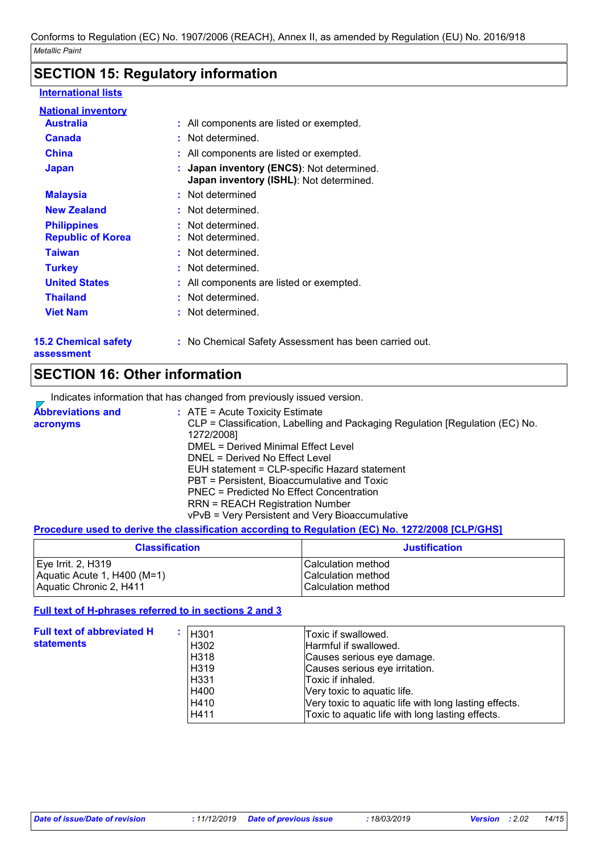## **SECTION 15: Regulatory information**

### **International lists**

| <b>National inventory</b><br><b>Australia</b>  | : All components are listed or exempted.                                             |
|------------------------------------------------|--------------------------------------------------------------------------------------|
| <b>Canada</b>                                  | : Not determined.                                                                    |
| <b>China</b>                                   | : All components are listed or exempted.                                             |
| <b>Japan</b>                                   | : Japan inventory (ENCS): Not determined.<br>Japan inventory (ISHL): Not determined. |
| <b>Malaysia</b>                                | : Not determined                                                                     |
| <b>New Zealand</b>                             | : Not determined.                                                                    |
| <b>Philippines</b><br><b>Republic of Korea</b> | : Not determined.<br>: Not determined.                                               |
| <b>Taiwan</b>                                  | : Not determined.                                                                    |
| <b>Turkey</b>                                  | : Not determined.                                                                    |
| <b>United States</b>                           | : All components are listed or exempted.                                             |
| <b>Thailand</b>                                | : Not determined.                                                                    |
| <b>Viet Nam</b>                                | : Not determined.                                                                    |

**15.2 Chemical safety assessment**

**:** No Chemical Safety Assessment has been carried out.

## **SECTION 16: Other information**

Indicates information that has changed from previously issued version.

| <b>Abbreviations and</b> | $\therefore$ ATE = Acute Toxicity Estimate                                    |
|--------------------------|-------------------------------------------------------------------------------|
| acronyms                 | CLP = Classification, Labelling and Packaging Regulation [Regulation (EC) No. |
|                          | 1272/2008]                                                                    |
|                          | DMEL = Derived Minimal Effect Level                                           |
|                          | DNEL = Derived No Effect Level                                                |
|                          | EUH statement = CLP-specific Hazard statement                                 |
|                          | PBT = Persistent, Bioaccumulative and Toxic                                   |
|                          | PNEC = Predicted No Effect Concentration                                      |
|                          | <b>RRN = REACH Registration Number</b>                                        |
|                          | vPvB = Very Persistent and Very Bioaccumulative                               |

### **Procedure used to derive the classification according to Regulation (EC) No. 1272/2008 [CLP/GHS]**

| <b>Classification</b>       | <b>Justification</b>      |
|-----------------------------|---------------------------|
| Eye Irrit. 2, H319          | ICalculation method       |
| Aquatic Acute 1, H400 (M=1) | <b>Calculation method</b> |
| Aquatic Chronic 2, H411     | l Calculation method      |

### **Full text of H-phrases referred to in sections 2 and 3**

| <b>Full text of abbreviated H</b><br><b>statements</b> | H301<br>H302<br>H318<br>H319<br>H331 H<br>H400<br>H410<br>H411 | Toxic if swallowed.<br>Harmful if swallowed.<br>Causes serious eye damage.<br>Causes serious eye irritation.<br>Toxic if inhaled.<br>Very toxic to aquatic life.<br>Very toxic to aquatic life with long lasting effects.<br>Toxic to aquatic life with long lasting effects. |
|--------------------------------------------------------|----------------------------------------------------------------|-------------------------------------------------------------------------------------------------------------------------------------------------------------------------------------------------------------------------------------------------------------------------------|
|--------------------------------------------------------|----------------------------------------------------------------|-------------------------------------------------------------------------------------------------------------------------------------------------------------------------------------------------------------------------------------------------------------------------------|